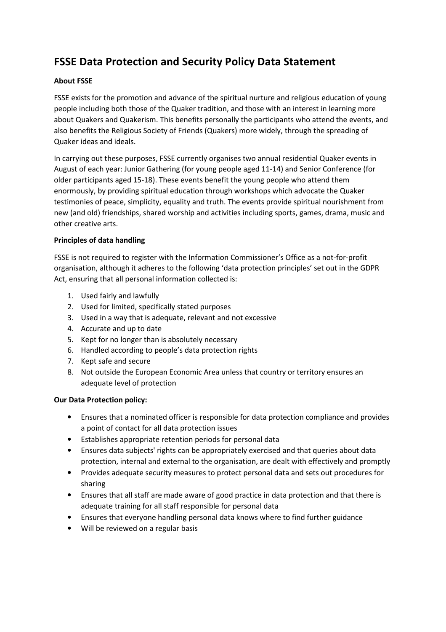# **FSSE Data Protection and Security Policy Data Statement**

## **About FSSE**

FSSE exists for the promotion and advance of the spiritual nurture and religious education of young people including both those of the Quaker tradition, and those with an interest in learning more about Quakers and Quakerism. This benefits personally the participants who attend the events, and also benefits the Religious Society of Friends (Quakers) more widely, through the spreading of Quaker ideas and ideals.

In carrying out these purposes, FSSE currently organises two annual residential Quaker events in August of each year: Junior Gathering (for young people aged 11-14) and Senior Conference (for older participants aged 15-18). These events benefit the young people who attend them enormously, by providing spiritual education through workshops which advocate the Quaker testimonies of peace, simplicity, equality and truth. The events provide spiritual nourishment from new (and old) friendships, shared worship and activities including sports, games, drama, music and other creative arts.

## **Principles of data handling**

FSSE is not required to register with the Information Commissioner's Office as a not-for-profit organisation, although it adheres to the following 'data protection principles' set out in the GDPR Act, ensuring that all personal information collected is:

- 1. Used fairly and lawfully
- 2. Used for limited, specifically stated purposes
- 3. Used in a way that is adequate, relevant and not excessive
- 4. Accurate and up to date
- 5. Kept for no longer than is absolutely necessary
- 6. Handled according to people's data protection rights
- 7. Kept safe and secure
- 8. Not outside the European Economic Area unless that country or territory ensures an adequate level of protection

## **Our Data Protection policy:**

- Ensures that a nominated officer is responsible for data protection compliance and provides a point of contact for all data protection issues
- Establishes appropriate retention periods for personal data
- Ensures data subjects' rights can be appropriately exercised and that queries about data protection, internal and external to the organisation, are dealt with effectively and promptly
- Provides adequate security measures to protect personal data and sets out procedures for sharing
- Ensures that all staff are made aware of good practice in data protection and that there is adequate training for all staff responsible for personal data
- Ensures that everyone handling personal data knows where to find further guidance
- Will be reviewed on a regular basis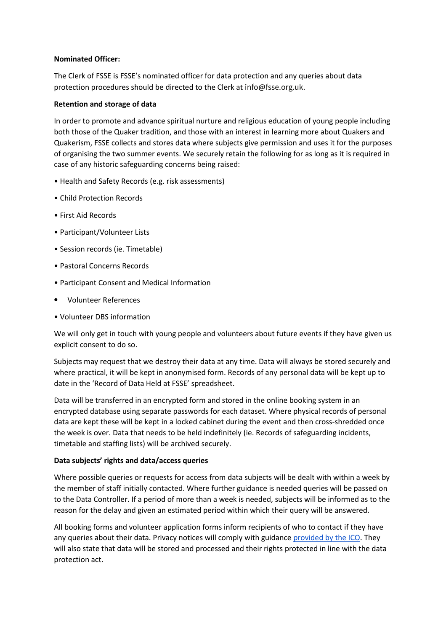#### **Nominated Officer:**

The Clerk of FSSE is FSSE's nominated officer for data protection and any queries about data protection procedures should be directed to the Clerk at info@fsse.org.uk.

## **Retention and storage of data**

In order to promote and advance spiritual nurture and religious education of young people including both those of the Quaker tradition, and those with an interest in learning more about Quakers and Quakerism, FSSE collects and stores data where subjects give permission and uses it for the purposes of organising the two summer events. We securely retain the following for as long as it is required in case of any historic safeguarding concerns being raised:

- Health and Safety Records (e.g. risk assessments)
- Child Protection Records
- First Aid Records
- Participant/Volunteer Lists
- Session records (ie. Timetable)
- Pastoral Concerns Records
- Participant Consent and Medical Information
- Volunteer References
- Volunteer DBS information

We will only get in touch with young people and volunteers about future events if they have given us explicit consent to do so.

Subjects may request that we destroy their data at any time. Data will always be stored securely and where practical, it will be kept in anonymised form. Records of any personal data will be kept up to date in the 'Record of Data Held at FSSE' spreadsheet.

Data will be transferred in an encrypted form and stored in the online booking system in an encrypted database using separate passwords for each dataset. Where physical records of personal data are kept these will be kept in a locked cabinet during the event and then cross-shredded once the week is over. Data that needs to be held indefinitely (ie. Records of safeguarding incidents, timetable and staffing lists) will be archived securely.

## **Data subjects' rights and data/access queries**

Where possible queries or requests for access from data subjects will be dealt with within a week by the member of staff initially contacted. Where further guidance is needed queries will be passed on to the Data Controller. If a period of more than a week is needed, subjects will be informed as to the reason for the delay and given an estimated period within which their query will be answered.

All booking forms and volunteer application forms inform recipients of who to contact if they have any queries about their data. Privacy notices will comply with guidance provided by the ICO. They will also state that data will be stored and processed and their rights protected in line with the data protection act.